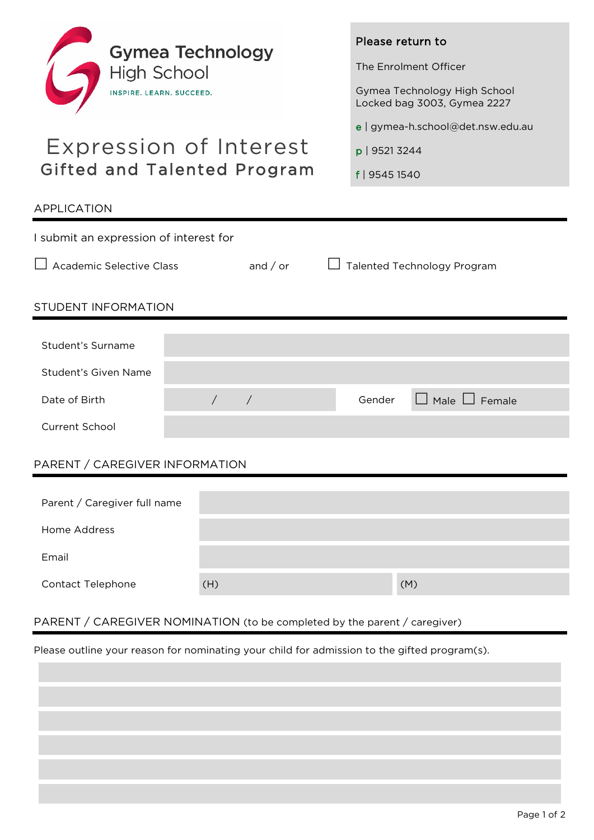

# Expression of Interest Gifted and Talented Program

APPLICATION

### Please return to

The Enrolment Officer

Gymea Technology High School Locked bag 3003, Gymea 2227

e | gymea-h.school@det.nsw.edu.au

p | 9521 3244

f | 9545 1540

| I submit an expression of interest for |            |                 |   |                             |                           |  |
|----------------------------------------|------------|-----------------|---|-----------------------------|---------------------------|--|
| <b>Academic Selective Class</b>        |            | and $\prime$ or | Ш | Talented Technology Program |                           |  |
| STUDENT INFORMATION                    |            |                 |   |                             |                           |  |
| Student's Surname                      |            |                 |   |                             |                           |  |
| Student's Given Name                   |            |                 |   |                             |                           |  |
| Date of Birth                          | $\sqrt{2}$ | $\sqrt{2}$      |   | Gender                      | $\Box$ Male $\Box$ Female |  |
| Current School                         |            |                 |   |                             |                           |  |
| PARENT / CAREGIVER INFORMATION         |            |                 |   |                             |                           |  |
| Parent / Caregiver full name           |            |                 |   |                             |                           |  |
| Home Address                           |            |                 |   |                             |                           |  |
| Email                                  |            |                 |   |                             |                           |  |
| <b>Contact Telephone</b>               | (H)        |                 |   |                             | (M)                       |  |
|                                        |            |                 |   |                             |                           |  |

## PARENT / CAREGIVER NOMINATION (to be completed by the parent / caregiver)

Please outline your reason for nominating your child for admission to the gifted program(s).